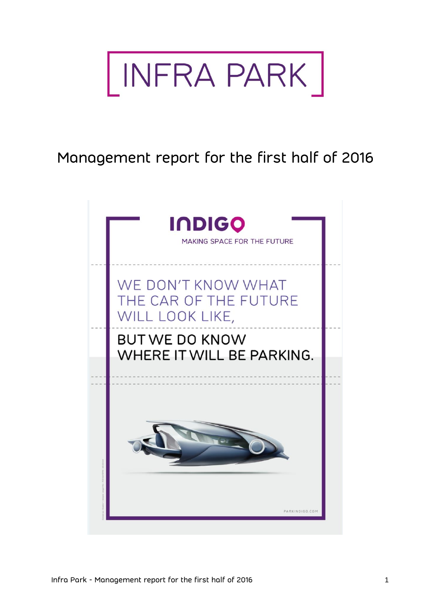

Management report for the first half of 2016

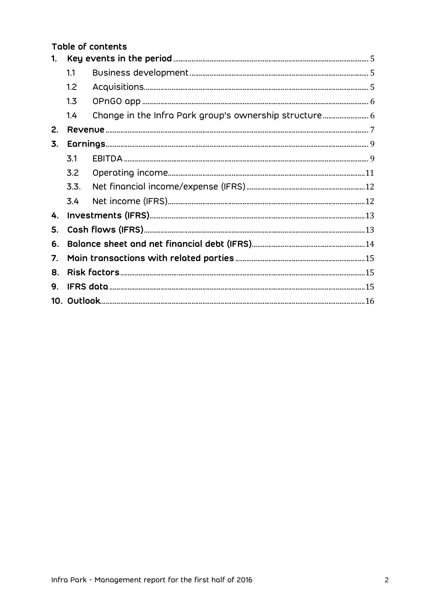|                |      | <b>Table of contents</b> |  |  |  |
|----------------|------|--------------------------|--|--|--|
| $\mathbf{1}$ . |      |                          |  |  |  |
|                | 1.1  |                          |  |  |  |
|                | 1.2  |                          |  |  |  |
|                | 1.3  |                          |  |  |  |
|                | 1.4  |                          |  |  |  |
| 2.             |      |                          |  |  |  |
| 3.             |      |                          |  |  |  |
|                | 3.1  |                          |  |  |  |
|                | 3.2  |                          |  |  |  |
|                | 3.3. |                          |  |  |  |
|                | 3.4  |                          |  |  |  |
| 4.             |      |                          |  |  |  |
| 5.             |      |                          |  |  |  |
| 6.             |      |                          |  |  |  |
| 7.             |      |                          |  |  |  |
| 8.             |      |                          |  |  |  |
| 9.             |      |                          |  |  |  |
|                |      |                          |  |  |  |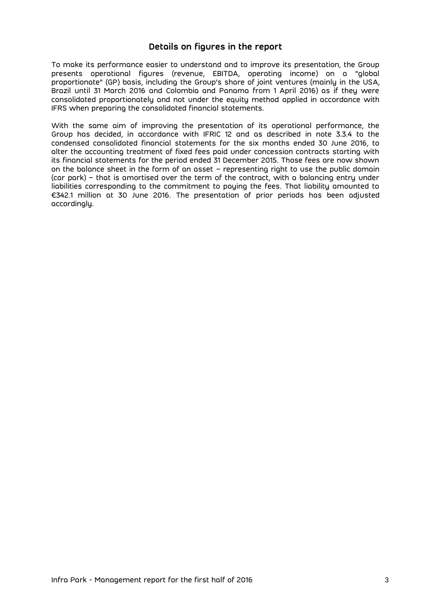## **Details on figures in the report**

To make its performance easier to understand and to improve its presentation, the Group presents operational figures (revenue, EBITDA, operating income) on a "global proportionate" (GP) basis, including the Group's share of joint ventures (mainly in the USA, Brazil until 31 March 2016 and Colombia and Panama from 1 April 2016) as if they were consolidated proportionately and not under the equity method applied in accordance with IFRS when preparing the consolidated financial statements.

With the same aim of improving the presentation of its operational performance, the Group has decided, in accordance with IFRIC 12 and as described in note 3.3.4 to the condensed consolidated financial statements for the six months ended 30 June 2016, to alter the accounting treatment of fixed fees paid under concession contracts starting with its financial statements for the period ended 31 December 2015. Those fees are now shown on the balance sheet in the form of an asset – representing right to use the public domain (car park) – that is amortised over the term of the contract, with a balancing entry under liabilities corresponding to the commitment to paying the fees. That liability amounted to €342.1 million at 30 June 2016. The presentation of prior periods has been adjusted accordingly.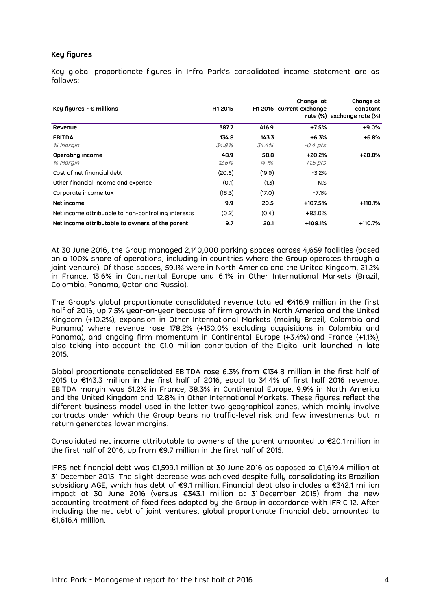### **Key figures**

Key global proportionate figures in Infra Park's consolidated income statement are as follows:

| Key figures - $\epsilon$ millions                   | H1 2015        |                | Change at<br>H1 2016 current exchange | Change at<br>constant<br>rate (%) exchange rate (%) |  |
|-----------------------------------------------------|----------------|----------------|---------------------------------------|-----------------------------------------------------|--|
| Revenue                                             | 387.7          | 416.9          | $+7.5%$                               | $+9.0%$                                             |  |
| <b>EBITDA</b><br>% Margin                           | 134.8<br>34.8% | 143.3<br>34.4% | $+6.3%$<br>$-0.4$ pts                 | $+6.8%$                                             |  |
| Operating income<br>% Margin                        | 48.9<br>12.6%  | 58.8<br>14.1%  | +20.2%<br>$+1.5$ pts                  | $+20.8%$                                            |  |
| Cost of net financial debt                          | (20.6)         | (19.9)         | $-3.2\%$                              |                                                     |  |
| Other financial income and expense                  | (0.1)          | (1.3)          | N.S                                   |                                                     |  |
| Corporate income tax                                | (18.3)         | (17.0)         | $-7.1%$                               |                                                     |  |
| Net income                                          | 9.9            | 20.5           | +107.5%                               | $+110.1%$                                           |  |
| Net income attribuable to non-controlling interests | (0.2)          | (0.4)          | +83.0%                                |                                                     |  |
| Net income attributable to owners of the parent     | 9.7            | 20.1           | $+108.1%$                             | +110.7%                                             |  |

At 30 June 2016, the Group managed 2,140,000 parking spaces across 4,659 facilities (based on a 100% share of operations, including in countries where the Group operates through a joint venture). Of those spaces, 59.1% were in North America and the United Kingdom, 21.2% in France, 13.6% in Continental Europe and 6.1% in Other International Markets (Brazil, Colombia, Panama, Qatar and Russia).

The Group's global proportionate consolidated revenue totalled €416.9 million in the first half of 2016, up 7.5% year-on-year because of firm growth in North America and the United Kingdom (+10.2%), expansion in Other International Markets (mainly Brazil, Colombia and Panama) where revenue rose 178.2% (+130.0% excluding acquisitions in Colombia and Panama), and ongoing firm momentum in Continental Europe (+3.4%) and France (+1.1%), also taking into account the €1.0 million contribution of the Digital unit launched in late 2015.

Global proportionate consolidated EBITDA rose 6.3% from €134.8 million in the first half of 2015 to €143.3 million in the first half of 2016, equal to 34.4% of first half 2016 revenue. EBITDA margin was 51.2% in France, 38.3% in Continental Europe, 9.9% in North America and the United Kingdom and 12.8% in Other International Markets. These figures reflect the different business model used in the latter two geographical zones, which mainly involve contracts under which the Group bears no traffic-level risk and few investments but in return generates lower margins.

Consolidated net income attributable to owners of the parent amounted to €20.1 million in the first half of 2016, up from €9.7 million in the first half of 2015.

IFRS net financial debt was €1,599.1 million at 30 June 2016 as opposed to €1,619.4 million at 31 December 2015. The slight decrease was achieved despite fully consolidating its Brazilian subsidiary AGE, which has debt of €9.1 million. Financial debt also includes a €342.1 million impact at 30 June 2016 (versus €343.1 million at 31 December 2015) from the new accounting treatment of fixed fees adopted by the Group in accordance with IFRIC 12. After including the net debt of joint ventures, global proportionate financial debt amounted to €1,616.4 million.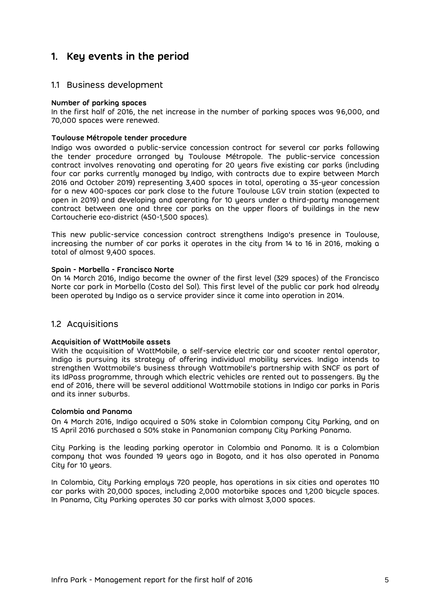# <span id="page-4-0"></span>**1. Key events in the period**

### <span id="page-4-1"></span>1.1 Business development

### **Number of parking spaces**

In the first half of 2016, the net increase in the number of parking spaces was 96,000, and 70,000 spaces were renewed.

### **Toulouse Métropole tender procedure**

Indigo was awarded a public-service concession contract for several car parks following the tender procedure arranged by Toulouse Métropole. The public-service concession contract involves renovating and operating for 20 years five existing car parks (including four car parks currently managed by Indigo, with contracts due to expire between March 2016 and October 2019) representing 3,400 spaces in total, operating a 35-year concession for a new 400-spaces car park close to the future Toulouse LGV train station (expected to open in 2019) and developing and operating for 10 years under a third-party management contract between one and three car parks on the upper floors of buildings in the new Cartoucherie eco-district (450-1,500 spaces).

This new public-service concession contract strengthens Indigo's presence in Toulouse, increasing the number of car parks it operates in the city from 14 to 16 in 2016, making a total of almost 9,400 spaces.

### **Spain - Marbella - Francisco Norte**

On 14 March 2016, Indigo became the owner of the first level (329 spaces) of the Francisco Norte car park in Marbella (Costa del Sol). This first level of the public car park had already been operated by Indigo as a service provider since it came into operation in 2014.

### <span id="page-4-2"></span>1.2 Acquisitions

#### **Acquisition of WattMobile assets**

With the acquisition of WattMobile, a self-service electric car and scooter rental operator, Indigo is pursuing its strategy of offering individual mobility services. Indigo intends to strengthen Wattmobile's business through Wattmobile's partnership with SNCF as part of its IdPass programme, through which electric vehicles are rented out to passengers. By the end of 2016, there will be several additional Wattmobile stations in Indigo car parks in Paris and its inner suburbs.

#### **Colombia and Panama**

On 4 March 2016, Indigo acquired a 50% stake in Colombian company City Parking, and on 15 April 2016 purchased a 50% stake in Panamanian company City Parking Panama.

City Parking is the leading parking operator in Colombia and Panama. It is a Colombian company that was founded 19 years ago in Bogota, and it has also operated in Panama City for 10 years.

In Colombia, City Parking employs 720 people, has operations in six cities and operates 110 car parks with 20,000 spaces, including 2,000 motorbike spaces and 1,200 bicycle spaces. In Panama, City Parking operates 30 car parks with almost 3,000 spaces.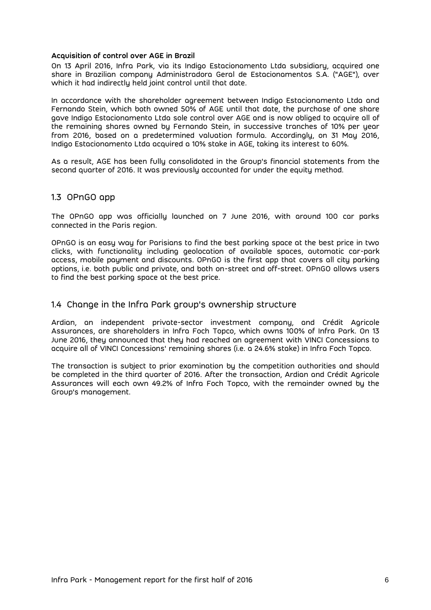### **Acquisition of control over AGE in Brazil**

On 13 April 2016, Infra Park, via its Indigo Estacionamento Ltda subsidiary, acquired one share in Brazilian company Administradora Geral de Estacionamentos S.A. ("AGE"), over which it had indirectly held joint control until that date.

In accordance with the shareholder agreement between Indigo Estacionamento Ltda and Fernando Stein, which both owned 50% of AGE until that date, the purchase of one share gave Indigo Estacionamento Ltda sole control over AGE and is now obliged to acquire all of the remaining shares owned by Fernando Stein, in successive tranches of 10% per year from 2016, based on a predetermined valuation formula. Accordingly, on 31 May 2016, Indigo Estacionamento Ltda acquired a 10% stake in AGE, taking its interest to 60%.

As a result, AGE has been fully consolidated in the Group's financial statements from the second quarter of 2016. It was previously accounted for under the equity method.

### <span id="page-5-0"></span>1.3 OPnGO app

The OPnGO app was officially launched on 7 June 2016, with around 100 car parks connected in the Paris region.

OPnGO is an easy way for Parisians to find the best parking space at the best price in two clicks, with functionality including geolocation of available spaces, automatic car-park access, mobile payment and discounts. OPnGO is the first app that covers all city parking options, i.e. both public and private, and both on-street and off-street. OPnGO allows users to find the best parking space at the best price.

### <span id="page-5-1"></span>1.4 Change in the Infra Park group's ownership structure

Ardian, an independent private-sector investment company, and Crédit Agricole Assurances, are shareholders in Infra Foch Topco, which owns 100% of Infra Park. On 13 June 2016, they announced that they had reached an agreement with VINCI Concessions to acquire all of VINCI Concessions' remaining shares (i.e. a 24.6% stake) in Infra Foch Topco.

The transaction is subject to prior examination by the competition authorities and should be completed in the third quarter of 2016. After the transaction, Ardian and Crédit Agricole Assurances will each own 49.2% of Infra Foch Topco, with the remainder owned by the Group's management.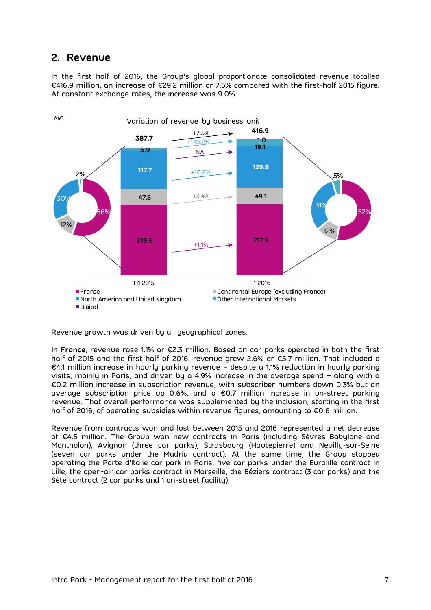## <span id="page-6-0"></span>**2. Revenue**

In the first half of 2016, the Group's global proportionate consolidated revenue totalled €416.9 million, an increase of €29.2 million or 7.5% compared with the first-half 2015 figure. At constant exchange rates, the increase was 9.0%.



Revenue growth was driven by all geographical zones.

**In France,** revenue rose 1.1% or €2.3 million. Based on car parks operated in both the first half of 2015 and the first half of 2016, revenue grew 2.6% or €5.7 million. That included a €4.1 million increase in hourly parking revenue – despite a 1.1% reduction in hourly parking visits, mainly in Paris, and driven by a 4.9% increase in the average spend – along with a €0.2 million increase in subscription revenue, with subscriber numbers down 0.3% but an average subscription price up 0.6%, and a €0.7 million increase in on-street parking revenue. That overall performance was supplemented by the inclusion, starting in the first half of 2016, of operating subsidies within revenue figures, amounting to €0.6 million.

Revenue from contracts won and lost between 2015 and 2016 represented a net decrease of €4.5 million. The Group won new contracts in Paris (including Sèvres Babylone and Montholon), Avignon (three car parks), Strasbourg (Hautepierre) and Neuilly-sur-Seine (seven car parks under the Madrid contract). At the same time, the Group stopped operating the Porte d'Italie car park in Paris, five car parks under the Euralille contract in Lille, the open-air car parks contract in Marseille, the Béziers contract (3 car parks) and the Sète contract (2 car parks and 1 on-street facility).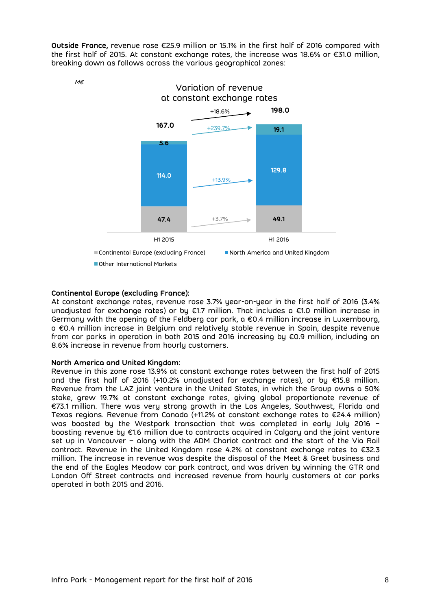**Outside France,** revenue rose €25.9 million or 15.1% in the first half of 2016 compared with the first half of 2015. At constant exchange rates, the increase was 18.6% or €31.0 million, breaking down as follows across the various geographical zones:



M€

### **Continental Europe (excluding France):**

At constant exchange rates, revenue rose 3.7% year-on-year in the first half of 2016 (3.4% unadjusted for exchange rates) or by €1.7 million. That includes a €1.0 million increase in Germany with the opening of the Feldberg car park, a €0.4 million increase in Luxembourg, a €0.4 million increase in Belgium and relatively stable revenue in Spain, despite revenue from car parks in operation in both 2015 and 2016 increasing by €0.9 million, including an 8.6% increase in revenue from hourly customers.

### **North America and United Kingdom:**

Revenue in this zone rose 13.9% at constant exchange rates between the first half of 2015 and the first half of 2016 (+10.2% unadjusted for exchange rates), or by €15.8 million. Revenue from the LAZ joint venture in the United States, in which the Group owns a 50% stake, grew 19.7% at constant exchange rates, giving global proportionate revenue of €73.1 million. There was very strong growth in the Los Angeles, Southwest, Florida and Texas regions. Revenue from Canada (+11.2% at constant exchange rates to €24.4 million) was boosted by the Westpark transaction that was completed in early July 2016 – boosting revenue by €1.6 million due to contracts acquired in Calgary and the joint venture set up in Vancouver – along with the ADM Chariot contract and the start of the Via Rail contract. Revenue in the United Kingdom rose 4.2% at constant exchange rates to €32.3 million. The increase in revenue was despite the disposal of the Meet & Greet business and the end of the Eagles Meadow car park contract, and was driven by winning the GTR and London Off Street contracts and increased revenue from hourly customers at car parks operated in both 2015 and 2016.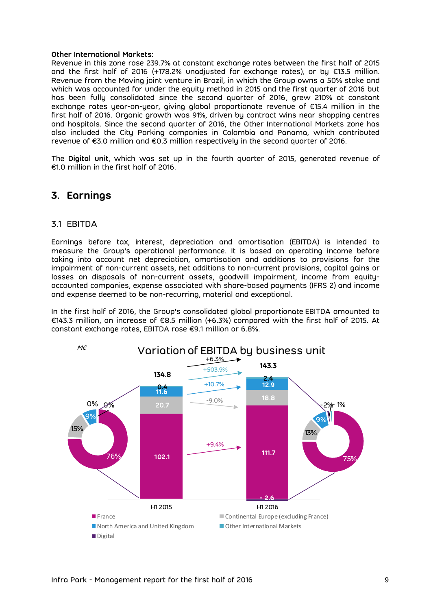#### **Other International Markets:**

Revenue in this zone rose 239.7% at constant exchange rates between the first half of 2015 and the first half of 2016 (+178.2% unadjusted for exchange rates), or by €13.5 million. Revenue from the Moving joint venture in Brazil, in which the Group owns a 50% stake and which was accounted for under the equity method in 2015 and the first quarter of 2016 but has been fully consolidated since the second quarter of 2016, grew 210% at constant exchange rates year-on-year, giving global proportionate revenue of €15.4 million in the first half of 2016. Organic growth was 91%, driven by contract wins near shopping centres and hospitals. Since the second quarter of 2016, the Other International Markets zone has also included the City Parking companies in Colombia and Panama, which contributed revenue of €3.0 million and €0.3 million respectively in the second quarter of 2016.

The **Digital unit**, which was set up in the fourth quarter of 2015, generated revenue of €1.0 million in the first half of 2016.

## <span id="page-8-0"></span>**3. Earnings**

### <span id="page-8-1"></span>3.1 EBITDA

Earnings before tax, interest, depreciation and amortisation (EBITDA) is intended to measure the Group's operational performance. It is based on operating income before taking into account net depreciation, amortisation and additions to provisions for the impairment of non-current assets, net additions to non-current provisions, capital gains or losses on disposals of non-current assets, goodwill impairment, income from equityaccounted companies, expense associated with share-based payments (IFRS 2) and income and expense deemed to be non-recurring, material and exceptional.

In the first half of 2016, the Group's consolidated global proportionate EBITDA amounted to €143.3 million, an increase of €8.5 million (+6.3%) compared with the first half of 2015. At constant exchange rates, EBITDA rose €9.1 million or 6.8%.

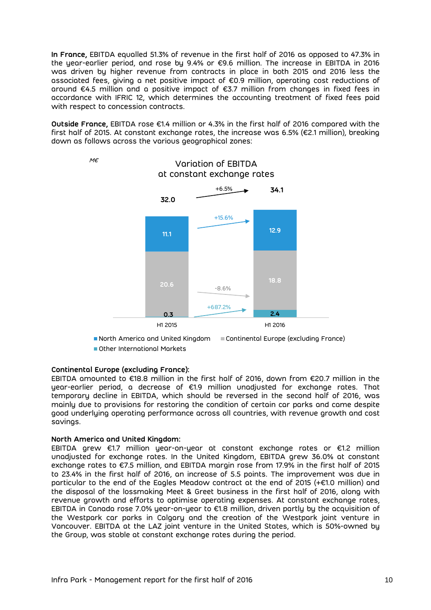**In France,** EBITDA equalled 51.3% of revenue in the first half of 2016 as opposed to 47.3% in the year-earlier period, and rose by 9.4% or €9.6 million. The increase in EBITDA in 2016 was driven by higher revenue from contracts in place in both 2015 and 2016 less the associated fees, giving a net positive impact of €0.9 million, operating cost reductions of around €4.5 million and a positive impact of €3.7 million from changes in fixed fees in accordance with IFRIC 12, which determines the accounting treatment of fixed fees paid with respect to concession contracts.

**Outside France,** EBITDA rose €1.4 million or 4.3% in the first half of 2016 compared with the first half of 2015. At constant exchange rates, the increase was 6.5% (€2.1 million), breaking down as follows across the various geographical zones:

Variation of EBITDA



North America and United Kingdom Continental Europe (excluding France) ■ Other International Markets

### **Continental Europe (excluding France):**

M€

EBITDA amounted to €18.8 million in the first half of 2016, down from €20.7 million in the year-earlier period, a decrease of €1.9 million unadjusted for exchange rates. That temporary decline in EBITDA, which should be reversed in the second half of 2016, was mainly due to provisions for restoring the condition of certain car parks and came despite good underlying operating performance across all countries, with revenue growth and cost savings.

### **North America and United Kingdom:**

EBITDA grew €1.7 million year-on-year at constant exchange rates or €1.2 million unadjusted for exchange rates. In the United Kingdom, EBITDA grew 36.0% at constant exchange rates to €7.5 million, and EBITDA margin rose from 17.9% in the first half of 2015 to 23.4% in the first half of 2016, an increase of 5.5 points. The improvement was due in particular to the end of the Eagles Meadow contract at the end of 2015 (+€1.0 million) and the disposal of the lossmaking Meet & Greet business in the first half of 2016, along with revenue growth and efforts to optimise operating expenses. At constant exchange rates, EBITDA in Canada rose 7.0% year-on-year to €1.8 million, driven partly by the acquisition of the Westpark car parks in Calgary and the creation of the Westpark joint venture in Vancouver. EBITDA at the LAZ joint venture in the United States, which is 50%-owned by the Group, was stable at constant exchange rates during the period.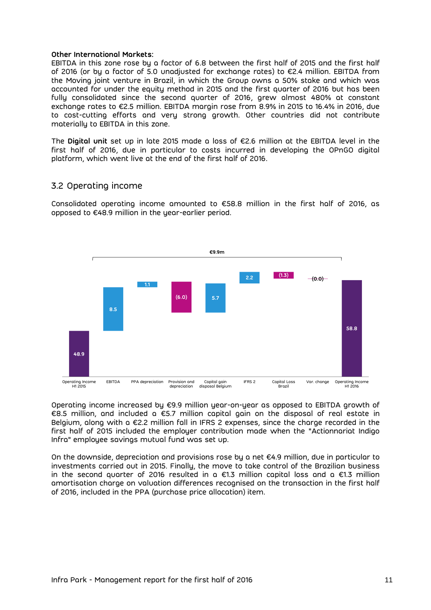#### **Other International Markets:**

EBITDA in this zone rose by a factor of 6.8 between the first half of 2015 and the first half of 2016 (or by a factor of 5.0 unadjusted for exchange rates) to €2.4 million. EBITDA from the Moving joint venture in Brazil, in which the Group owns a 50% stake and which was accounted for under the equity method in 2015 and the first quarter of 2016 but has been fully consolidated since the second quarter of 2016, grew almost 480% at constant exchange rates to €2.5 million. EBITDA margin rose from 8.9% in 2015 to 16.4% in 2016, due to cost-cutting efforts and very strong growth. Other countries did not contribute materially to EBITDA in this zone.

The **Digital unit** set up in late 2015 made a loss of €2.6 million at the EBITDA level in the first half of 2016, due in particular to costs incurred in developing the OPnGO digital platform, which went live at the end of the first half of 2016.

## <span id="page-10-0"></span>3.2 Operating income

Consolidated operating income amounted to €58.8 million in the first half of 2016, as opposed to €48.9 million in the year-earlier period.



Operating income increased by €9.9 million year-on-year as opposed to EBITDA growth of €8.5 million, and included a €5.7 million capital gain on the disposal of real estate in Belgium, along with a €2.2 million fall in IFRS 2 expenses, since the charge recorded in the first half of 2015 included the employer contribution made when the "Actionnariat Indigo Infra" employee savings mutual fund was set up.

On the downside, depreciation and provisions rose by a net  $\epsilon$ 4.9 million, due in particular to investments carried out in 2015. Finally, the move to take control of the Brazilian business in the second quarter of 2016 resulted in a  $\epsilon$ 1.3 million capital loss and a  $\epsilon$ 1.3 million amortisation charge on valuation differences recognised on the transaction in the first half of 2016, included in the PPA (purchase price allocation) item.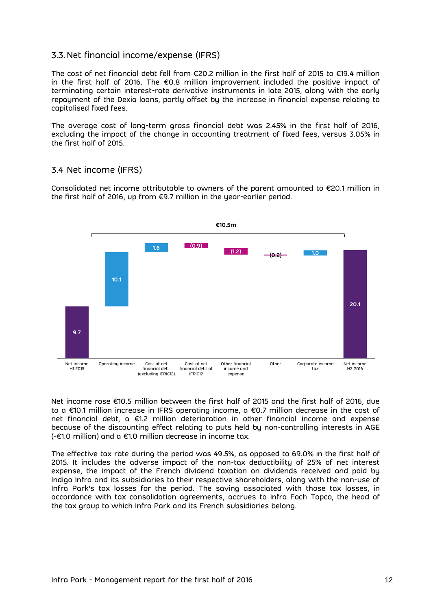## <span id="page-11-0"></span>3.3. Net financial income/expense (IFRS)

The cost of net financial debt fell from €20.2 million in the first half of 2015 to €19.4 million in the first half of 2016. The €0.8 million improvement included the positive impact of terminating certain interest-rate derivative instruments in late 2015, along with the early repayment of the Dexia loans, partly offset by the increase in financial expense relating to capitalised fixed fees.

The average cost of long-term gross financial debt was 2.45% in the first half of 2016, excluding the impact of the change in accounting treatment of fixed fees, versus 3.05% in the first half of 2015.

## <span id="page-11-1"></span>3.4 Net income (IFRS)

Consolidated net income attributable to owners of the parent amounted to €20.1 million in the first half of 2016, up from €9.7 million in the year-earlier period.



Net income rose €10.5 million between the first half of 2015 and the first half of 2016, due to a €10.1 million increase in IFRS operating income, a €0.7 million decrease in the cost of net financial debt, a €1.2 million deterioration in other financial income and expense because of the discounting effect relating to puts held by non-controlling interests in AGE (-€1.0 million) and a €1.0 million decrease in income tax.

The effective tax rate during the period was 49.5%, as opposed to 69.0% in the first half of 2015. It includes the adverse impact of the non-tax deductibility of 25% of net interest expense, the impact of the French dividend taxation on dividends received and paid by Indigo Infra and its subsidiaries to their respective shareholders, along with the non-use of Infra Park's tax losses for the period. The saving associated with those tax losses, in accordance with tax consolidation agreements, accrues to Infra Foch Topco, the head of the tax group to which Infra Park and its French subsidiaries belong.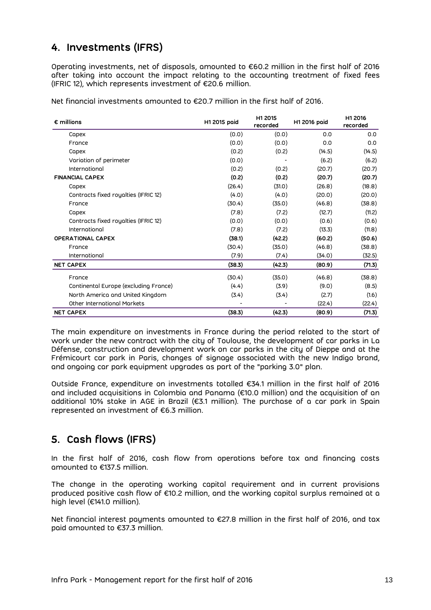# <span id="page-12-0"></span>**4. Investments (IFRS)**

Operating investments, net of disposals, amounted to €60.2 million in the first half of 2016 after taking into account the impact relating to the accounting treatment of fixed fees (IFRIC 12), which represents investment of €20.6 million.

Net financial investments amounted to €20.7 million in the first half of 2016.

| $\epsilon$ millions                   | H1 2015 poid | H1 2015<br>recorded | H1 2016 poid | H1 2016<br>recorded |
|---------------------------------------|--------------|---------------------|--------------|---------------------|
| Capex                                 | (0.0)        | (0.0)               | 0.0          | 0.0                 |
| France                                | (0.0)        | (0.0)               | 0.0          | 0.0                 |
| Capex                                 | (0.2)        | (0.2)               | (14.5)       | (14.5)              |
| Variation of perimeter                | (0.0)        | (0.2)               | (6.2)        | (6.2)               |
| International                         | (0.2)        |                     | (20.7)       | (20.7)              |
| <b>FINANCIAL CAPEX</b>                | (0.2)        | (0.2)               | (20.7)       | (20.7)              |
| Capex                                 | (26.4)       | (31.0)              | (26.8)       | (18.8)              |
| Contracts fixed royalties (IFRIC 12)  | (4.0)        | (4.0)               | (20.0)       | (20.0)              |
| France                                | (30.4)       | (35.0)              | (46.8)       | (38.8)              |
| Capex                                 | (7.8)        | (7.2)               | (12.7)       | (11.2)              |
| Contracts fixed royalties (IFRIC 12)  | (0.0)        | (0.0)               | (0.6)        | (0.6)               |
| International                         | (7.8)        | (7.2)               | (13.3)       | (11.8)              |
| <b>OPERATIONAL CAPEX</b>              | (38.1)       | (42.2)              | (60.2)       | (50.6)              |
| France                                | (30.4)       | (35.0)              | (46.8)       | (38.8)              |
| International                         | (7.9)        | (7.4)               | (34.0)       | (32.5)              |
| <b>NET CAPEX</b>                      | (38.3)       | (42.3)              | (80.9)       | (71.3)              |
| France                                | (30.4)       | (35.0)              | (46.8)       | (38.8)              |
| Continental Europe (excluding France) | (4.4)        | (3.9)               | (9.0)        | (8.5)               |
| North America and United Kingdom      | (3.4)        | (3.4)               | (2.7)        | (1.6)               |
| Other International Markets           |              |                     | (22.4)       | (22.4)              |
| <b>NET CAPEX</b>                      | (38.3)       | (42.3)              | (80.9)       | (71.3)              |

The main expenditure on investments in France during the period related to the start of work under the new contract with the city of Toulouse, the development of car parks in La Défense, construction and development work on car parks in the city of Dieppe and at the Frémicourt car park in Paris, changes of signage associated with the new Indigo brand, and ongoing car park equipment upgrades as part of the "parking 3.0" plan.

Outside France, expenditure on investments totalled €34.1 million in the first half of 2016 and included acquisitions in Colombia and Panama (€10.0 million) and the acquisition of an additional 10% stake in AGE in Brazil (€3.1 million). The purchase of a car park in Spain represented an investment of €6.3 million.

# <span id="page-12-1"></span>**5. Cash flows (IFRS)**

In the first half of 2016, cash flow from operations before tax and financing costs amounted to €137.5 million.

The change in the operating working capital requirement and in current provisions produced positive cash flow of €10.2 million, and the working capital surplus remained at a high level (€141.0 million).

Net financial interest payments amounted to €27.8 million in the first half of 2016, and tax paid amounted to €37.3 million.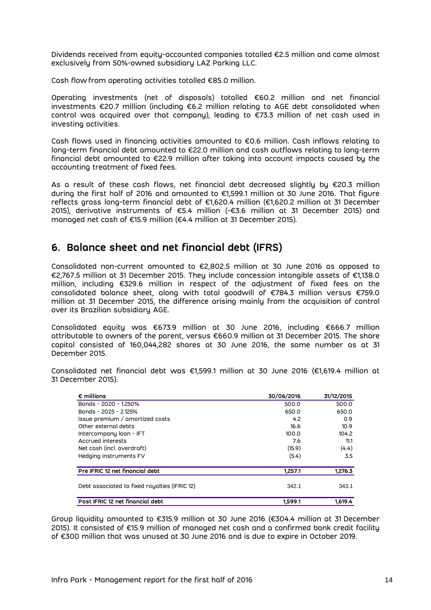Dividends received from equity-accounted companies totalled €2.5 million and came almost exclusively from 50%-owned subsidiary LAZ Parking LLC.

Cash flow from operating activities totalled €85.0 million.

Operating investments (net of disposals) totalled €60.2 million and net financial investments €20.7 million (including €6.2 million relating to AGE debt consolidated when control was acquired over that company), leading to €73.3 million of net cash used in investing activities.

Cash flows used in financing activities amounted to €0.6 million. Cash inflows relating to long-term financial debt amounted to €22.0 million and cash outflows relating to long-term financial debt amounted to €22.9 million after taking into account impacts caused by the accounting treatment of fixed fees.

As a result of these cash flows, net financial debt decreased slightly by €20.3 million during the first half of 2016 and amounted to €1,599.1 million at 30 June 2016. That figure reflects gross long-term financial debt of €1,620.4 million (€1,620.2 million at 31 December 2015), derivative instruments of €5.4 million (-€3.6 million at 31 December 2015) and managed net cash of €15.9 million (€4.4 million at 31 December 2015).

## <span id="page-13-0"></span>**6. Balance sheet and net financial debt (IFRS)**

Consolidated non-current amounted to €2,802.5 million at 30 June 2016 as opposed to €2,767.5 million at 31 December 2015. They include concession intangible assets of €1,138.0 million, including €329.6 million in respect of the adjustment of fixed fees on the consolidated balance sheet, along with total goodwill of €784.3 million versus €759.0 million at 31 December 2015, the difference arising mainly from the acquisition of control over its Brazilian subsidiary AGE.

Consolidated equity was €673.9 million at 30 June 2016, including €666.7 million attributable to owners of the parent, versus €660.9 million at 31 December 2015. The share capital consisted of 160,044,282 shares at 30 June 2016, the same number as at 31 December 2015.

Consolidated net financial debt was €1,599.1 million at 30 June 2016 (€1,619.4 million at 31 December 2015).

| $\epsilon$ millions                           | 30/06/2016 | 31/12/2015 |
|-----------------------------------------------|------------|------------|
| Bonds - 2020 - 1.250%                         | 500.0      | 500.0      |
| Bonds - 2025 - 2.125%                         | 650.0      | 650.0      |
| Issue premium / amortized costs               | 4.2        | 0.9        |
| Other external debts                          | 16.6       | 10.9       |
| Intercompany loan - IFT                       | 100.0      | 104.2      |
| Accrued interests                             | 7.6        | 11.1       |
| Net cash (incl. overdraft)                    | (15.9)     | (4.4)      |
| Hedging instruments FV                        | (5.4)      | 3.5        |
| Pre IFRIC 12 net financial debt               | 1,257.1    | 1,276.3    |
| Debt associated to fixed royalties (IFRIC 12) | 342.1      | 343.1      |
| Post IFRIC 12 net financial debt              | 1.599.1    | 1.619.4    |

Group liquidity amounted to €315.9 million at 30 June 2016 (€304.4 million at 31 December 2015). It consisted of €15.9 million of managed net cash and a confirmed bank credit facility of €300 million that was unused at 30 June 2016 and is due to expire in October 2019.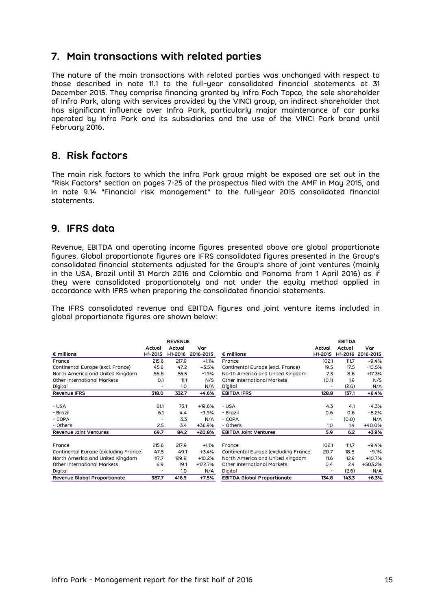# <span id="page-14-0"></span>**7. Main transactions with related parties**

The nature of the main transactions with related parties was unchanged with respect to those described in note 11.1 to the full-year consolidated financial statements at 31 December 2015. They comprise financing granted by Infra Foch Topco, the sole shareholder of Infra Park, along with services provided by the VINCI group, an indirect shareholder that has significant influence over Infra Park, particularly major maintenance of car parks operated by Infra Park and its subsidiaries and the use of the VINCI Park brand until February 2016.

# <span id="page-14-1"></span>**8. Risk factors**

The main risk factors to which the Infra Park group might be exposed are set out in the "Risk Factors" section on pages 7-25 of the prospectus filed with the AMF in May 2015, and in note 9.14 "Financial risk management" to the full-year 2015 consolidated financial statements.

## <span id="page-14-2"></span>**9. IFRS data**

Revenue, EBITDA and operating income figures presented above are global proportionate figures. Global proportionate figures are IFRS consolidated figures presented in the Group's consolidated financial statements adjusted for the Group's share of joint ventures (mainly in the USA, Brazil until 31 March 2016 and Colombia and Panama from 1 April 2016) as if they were consolidated proportionately and not under the equity method applied in accordance with IFRS when preparing the consolidated financial statements.

The IFRS consolidated revenue and EBITDA figures and joint venture items included in global proportionate figures are shown below:

|                                       | <b>REVENUE</b>           |         |           |                                       | <b>EBITDA</b> |         |           |
|---------------------------------------|--------------------------|---------|-----------|---------------------------------------|---------------|---------|-----------|
|                                       | Actual                   | Actual  | Var       |                                       | Actual        | Actual  | Var       |
| $\epsilon$ millions                   | H1-2015                  | H1-2016 | 2016-2015 | $\epsilon$ millions                   | H1-2015       | H1-2016 | 2016-2015 |
| France                                | 215.6                    | 217.9   | $+1.1%$   | France                                | 102.1         | 111.7   | $+9.4%$   |
| Continental Europe (excl. France)     | 45.6                     | 47.2    | $+3.5%$   | Continental Europe (excl. France)     | 19.5          | 17.5    | $-10.5%$  |
| North America and United Kingdom      | 56.6                     | 55.5    | $-1.9%$   | North America and United Kingdom      | 7.3           | 8.6     | $+17.3%$  |
| Other International Markets           | 0.1                      | 11.1    | N/S       | Other International Markets           | (0.1)         | 1.9     | N/S       |
| Digital                               |                          | 1.0     | N/A       | Digital                               |               | (2.6)   | N/A       |
| <b>Revenue IFRS</b>                   | 318.0                    | 332.7   | $+4.6%$   | <b>EBITDA IFRS</b>                    | 128.8         | 137.1   | $+6.4%$   |
| - USA                                 | 61.1                     | 73.1    | $+19.6%$  | - USA                                 | 4.3           | 4.1     | -4.3%     |
| - Brazil                              | 6.1                      | 4.4     | $-9.9%$   | - Brazil                              | 0.6           | 0.6     | $+8.2%$   |
| - COPA                                | $\overline{\phantom{0}}$ | 3.3     | N/A       | - COPA                                | ٠             | (0.0)   | N/A       |
| - Others                              | 2.5                      | 3.4     | +36.9%    | - Others                              | 1.0           | 1.4     | +40.0%    |
| Revenue Joint Ventures                | 69.7                     | 84.2    | +20.8%    | <b>EBITDA Joint Ventures</b>          | 5.9           | 6.2     | $+3.9%$   |
| France                                | 215.6                    | 217.9   | $+1.1%$   | France                                | 102.1         | 111.7   | $+9.4%$   |
| Continental Europe (excluding France) | 47.5                     | 49.1    | $+3.4%$   | Continental Europe (excluding France) | 20.7          | 18.8    | $-9.1%$   |
| North America and United Kingdom      | 117.7                    | 129.8   | $+10.2%$  | North America and United Kingdom      | 11.6          | 12.9    | $+10.7%$  |
| Other International Markets           | 6.9                      | 19.1    | $+172.7%$ | Other International Markets           | 0.4           | 2.4     | +503.2%   |
| Digital                               | $\overline{\phantom{0}}$ | 1.0     | N/A       | Digital                               |               | (2.6)   | N/A       |
| Revenue Global Proportionate          | 387.7                    | 416.9   | +7.5%     | <b>EBITDA Global Proportionate</b>    | 134.8         | 143.3   | $+6.3%$   |